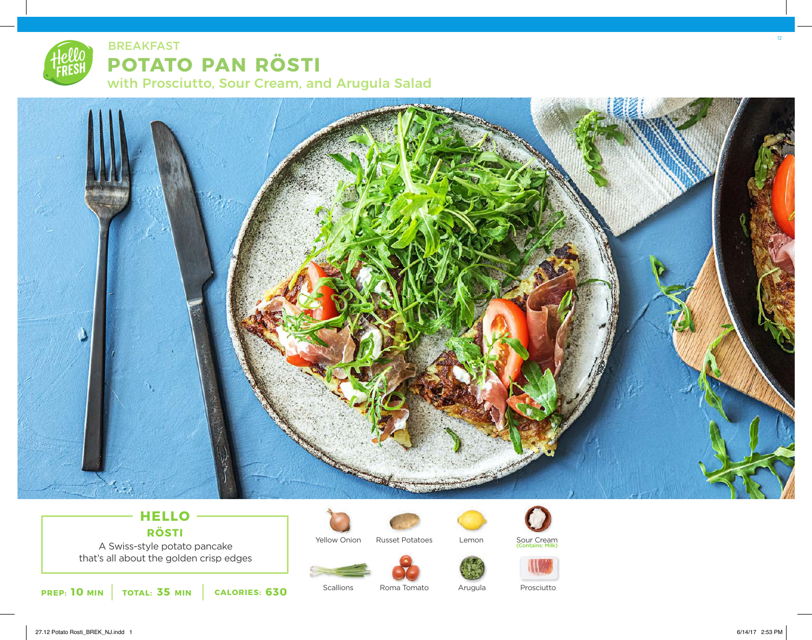



## **HELLO RÖSTI**

A Swiss-style potato pancake that's all about the golden crisp edges





Lemon



Sour Cream (Contains: Milk)



**PREP: 10 MIN TOTAL: 35 MIN CALORIES: 630**

**Scallions** Roma Tomato Arugula

12